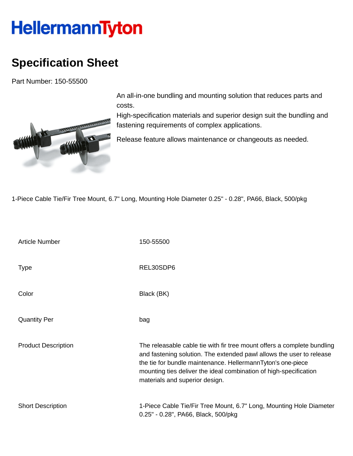## **HellermannTyton**

## **Specification Sheet**

Part Number: 150-55500



An all-in-one bundling and mounting solution that reduces parts and costs.

High-specification materials and superior design suit the bundling and fastening requirements of complex applications.

Release feature allows maintenance or changeouts as needed.

1-Piece Cable Tie/Fir Tree Mount, 6.7" Long, Mounting Hole Diameter 0.25" - 0.28", PA66, Black, 500/pkg

| <b>Article Number</b>      | 150-55500                                                                                                                                                                                                                                                                                                             |
|----------------------------|-----------------------------------------------------------------------------------------------------------------------------------------------------------------------------------------------------------------------------------------------------------------------------------------------------------------------|
| <b>Type</b>                | REL30SDP6                                                                                                                                                                                                                                                                                                             |
| Color                      | Black (BK)                                                                                                                                                                                                                                                                                                            |
| <b>Quantity Per</b>        | bag                                                                                                                                                                                                                                                                                                                   |
| <b>Product Description</b> | The releasable cable tie with fir tree mount offers a complete bundling<br>and fastening solution. The extended pawl allows the user to release<br>the tie for bundle maintenance. HellermannTyton's one-piece<br>mounting ties deliver the ideal combination of high-specification<br>materials and superior design. |
| <b>Short Description</b>   | 1-Piece Cable Tie/Fir Tree Mount, 6.7" Long, Mounting Hole Diameter<br>0.25" - 0.28", PA66, Black, 500/pkg                                                                                                                                                                                                            |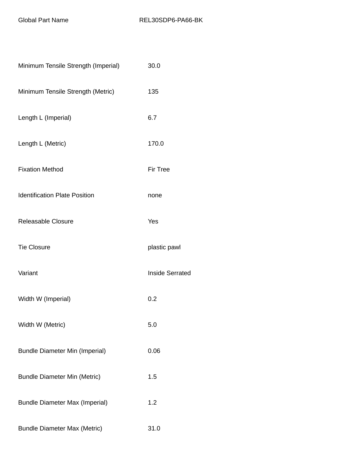| Minimum Tensile Strength (Imperial)   | 30.0                   |
|---------------------------------------|------------------------|
| Minimum Tensile Strength (Metric)     | 135                    |
| Length L (Imperial)                   | 6.7                    |
| Length L (Metric)                     | 170.0                  |
| <b>Fixation Method</b>                | <b>Fir Tree</b>        |
| <b>Identification Plate Position</b>  | none                   |
| <b>Releasable Closure</b>             | Yes                    |
| <b>Tie Closure</b>                    | plastic pawl           |
| Variant                               | <b>Inside Serrated</b> |
| Width W (Imperial)                    | 0.2                    |
| Width W (Metric)                      | 5.0                    |
| <b>Bundle Diameter Min (Imperial)</b> | 0.06                   |
| <b>Bundle Diameter Min (Metric)</b>   | 1.5                    |
| <b>Bundle Diameter Max (Imperial)</b> | 1.2                    |
| <b>Bundle Diameter Max (Metric)</b>   | 31.0                   |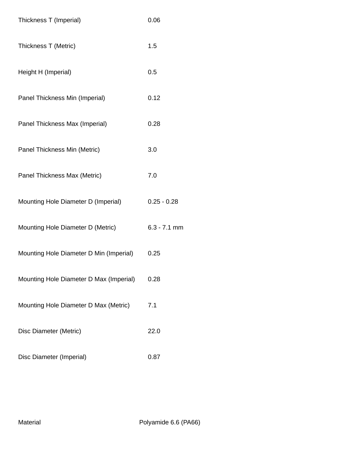| Thickness T (Imperial)                  | 0.06           |
|-----------------------------------------|----------------|
| Thickness T (Metric)                    | 1.5            |
| Height H (Imperial)                     | 0.5            |
| Panel Thickness Min (Imperial)          | 0.12           |
| Panel Thickness Max (Imperial)          | 0.28           |
| Panel Thickness Min (Metric)            | 3.0            |
| Panel Thickness Max (Metric)            | 7.0            |
| Mounting Hole Diameter D (Imperial)     | $0.25 - 0.28$  |
| Mounting Hole Diameter D (Metric)       | $6.3 - 7.1$ mm |
| Mounting Hole Diameter D Min (Imperial) | 0.25           |
| Mounting Hole Diameter D Max (Imperial) | 0.28           |
| Mounting Hole Diameter D Max (Metric)   | 7.1            |
| Disc Diameter (Metric)                  | 22.0           |
| Disc Diameter (Imperial)                | 0.87           |